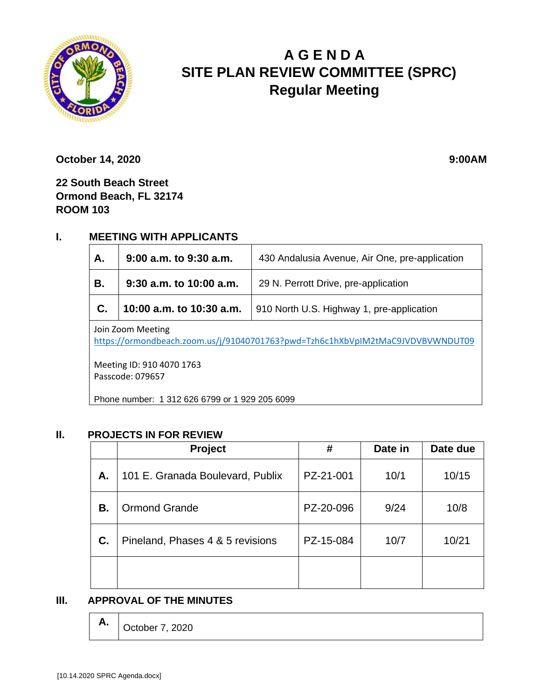

# **A G E N D A SITE PLAN REVIEW COMMITTEE (SPRC) Regular Meeting**

**October 14, 2020** 9:00AM

**22 South Beach Street Ormond Beach, FL 32174 ROOM 103**

## **I. MEETING WITH APPLICANTS**

| Α.                                                                                                  | $9:00$ a.m. to $9:30$ a.m. | 430 Andalusia Avenue, Air One, pre-application |  |  |  |
|-----------------------------------------------------------------------------------------------------|----------------------------|------------------------------------------------|--|--|--|
| В.                                                                                                  | $9:30$ a.m. to 10:00 a.m.  | 29 N. Perrott Drive, pre-application           |  |  |  |
| C.                                                                                                  | 10:00 a.m. to 10:30 a.m.   | 910 North U.S. Highway 1, pre-application      |  |  |  |
| Join Zoom Meeting<br>https://ormondbeach.zoom.us/j/91040701763?pwd=Tzh6c1hXbVpIM2tMaC9JVDVBVWNDUT09 |                            |                                                |  |  |  |

Meeting ID: 910 4070 1763 Passcode: 079657

Phone number: 1 312 626 6799 or 1 929 205 6099

#### **II. PROJECTS IN FOR REVIEW**

|    | <b>Project</b>                   | #         | Date in | Date due |
|----|----------------------------------|-----------|---------|----------|
| А. | 101 E. Granada Boulevard, Publix | PZ-21-001 | 10/1    | 10/15    |
| В. | <b>Ormond Grande</b>             | PZ-20-096 | 9/24    | 10/8     |
| C. | Pineland, Phases 4 & 5 revisions | PZ-15-084 | 10/7    | 10/21    |
|    |                                  |           |         |          |

#### **III. APPROVAL OF THE MINUTES**

| $\mathsf{A.}$ October 7, 2020 |  |
|-------------------------------|--|
|-------------------------------|--|